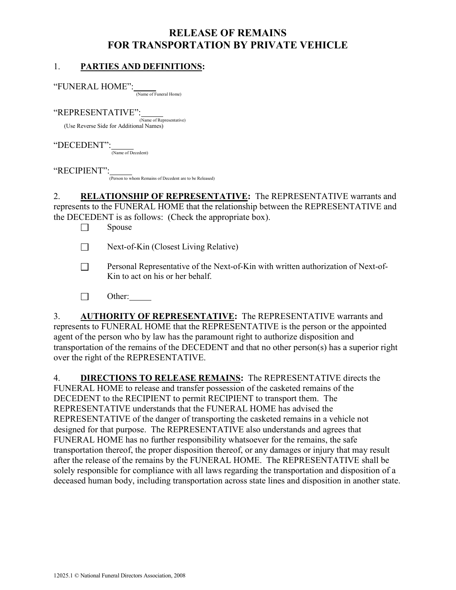# RELEASE OF REMAINS FOR TRANSPORTATION BY PRIVATE VEHICLE

#### 1. PARTIES AND DEFINITIONS:

"FUNERAL HOME":

 $\frac{1}{\frac{N_{\text{C}}}{N_{\text{C}}}}$  (Name of Funeral Home)

 $"REPRESENTATIVE"$ : $\frac{\text{Name of Representative}}{\text{Name of Representative}}$ (Use Reverse Side for Additional Names)

## "DECEDENT":

 $\frac{1}{(Name of Decedent)}$ 

#### "RECIPIENT":

(Person to whom Remains of Decedent are to be Released)

2. RELATIONSHIP OF REPRESENTATIVE: The REPRESENTATIVE warrants and represents to the FUNERAL HOME that the relationship between the REPRESENTATIVE and the DECEDENT is as follows: (Check the appropriate box).

 $\square$  Spouse

 $\Box$  Next-of-Kin (Closest Living Relative)

- Personal Representative of the Next-of-Kin with written authorization of Next-of-Kin to act on his or her behalf.
- $\Box$  Other:

3. AUTHORITY OF REPRESENTATIVE: The REPRESENTATIVE warrants and represents to FUNERAL HOME that the REPRESENTATIVE is the person or the appointed agent of the person who by law has the paramount right to authorize disposition and transportation of the remains of the DECEDENT and that no other person(s) has a superior right over the right of the REPRESENTATIVE.

4. DIRECTIONS TO RELEASE REMAINS: The REPRESENTATIVE directs the FUNERAL HOME to release and transfer possession of the casketed remains of the DECEDENT to the RECIPIENT to permit RECIPIENT to transport them. The REPRESENTATIVE understands that the FUNERAL HOME has advised the REPRESENTATIVE of the danger of transporting the casketed remains in a vehicle not designed for that purpose. The REPRESENTATIVE also understands and agrees that FUNERAL HOME has no further responsibility whatsoever for the remains, the safe transportation thereof, the proper disposition thereof, or any damages or injury that may result after the release of the remains by the FUNERAL HOME. The REPRESENTATIVE shall be solely responsible for compliance with all laws regarding the transportation and disposition of a deceased human body, including transportation across state lines and disposition in another state.